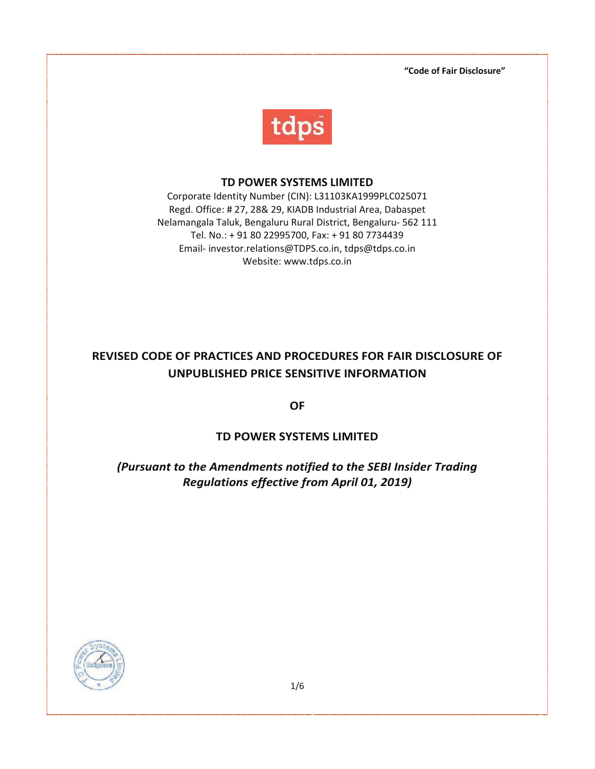**ìCode of Fair Disclosureî**



## **TD POWER SYSTEMS LIMITED**

Corporate Identity Number (CIN): L31103KA1999PLC025071 Regd. Office: # 27, 28& 29, KIADB Industrial Area, Dabaspet Nelamangala Taluk, Bengaluru Rural District, Bengaluru- 562 111 Tel. No.: + 91 80 22995700, Fax: + 91 80 7734439 Email- investor.relations@TDPS.co.in, tdps@tdps.co.in Website: www.tdps.co.in

# **REVISED CODE OF PRACTICES AND PROCEDURES FOR FAIR DISCLOSURE OF UNPUBLISHED PRICE SENSITIVE INFORMATION**

**OF** 

## **TD POWER SYSTEMS LIMITED**

## *(Pursuant to the Amendments notified to the SEBI Insider Trading Regulations effective from April 01, 2019)*

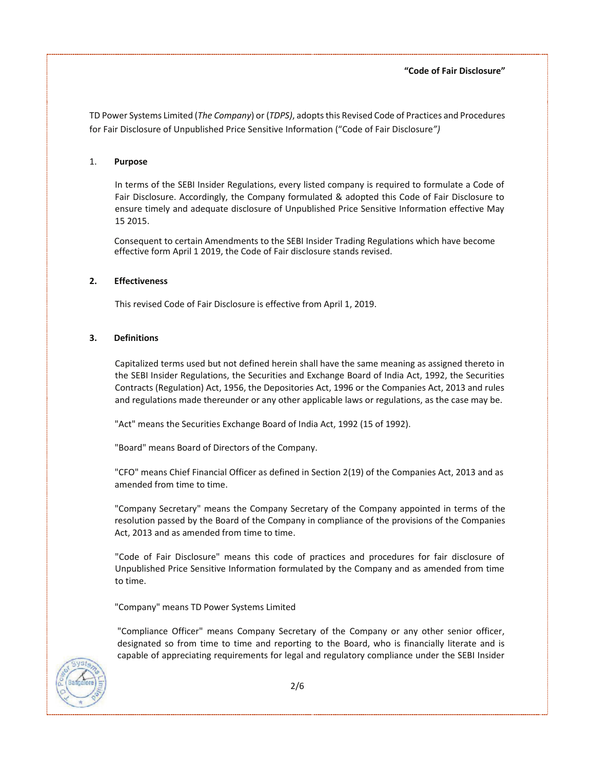TD Power Systems Limited (*The Company*) or (*TDPS)*, adopts this Revised Code of Practices and Procedures for Fair Disclosure of Unpublished Price Sensitive Information ("Code of Fair Disclosure")

### 1. **Purpose**

In terms of the SEBI Insider Regulations, every listed company is required to formulate a Code of Fair Disclosure. Accordingly, the Company formulated & adopted this Code of Fair Disclosure to ensure timely and adequate disclosure of Unpublished Price Sensitive Information effective May 15 2015.

Consequent to certain Amendments to the SEBI Insider Trading Regulations which have become effective form April 1 2019, the Code of Fair disclosure stands revised.

### **2. Effectiveness**

This revised Code of Fair Disclosure is effective from April 1, 2019.

### **3. Definitions**

Capitalized terms used but not defined herein shall have the same meaning as assigned thereto in the SEBI Insider Regulations, the Securities and Exchange Board of India Act, 1992, the Securities Contracts (Regulation) Act, 1956, the Depositories Act, 1996 or the Companies Act, 2013 and rules and regulations made thereunder or any other applicable laws or regulations, as the case may be.

"Act" means the Securities Exchange Board of India Act, 1992 (15 of 1992).

"Board" means Board of Directors of the Company.

"CFO" means Chief Financial Officer as defined in Section 2(19) of the Companies Act, 2013 and as amended from time to time.

"Company Secretary" means the Company Secretary of the Company appointed in terms of the resolution passed by the Board of the Company in compliance of the provisions of the Companies Act, 2013 and as amended from time to time.

"Code of Fair Disclosure" means this code of practices and procedures for fair disclosure of Unpublished Price Sensitive Information formulated by the Company and as amended from time to time.

"Company" means TD Power Systems Limited

"Compliance Officer" means Company Secretary of the Company or any other senior officer, designated so from time to time and reporting to the Board, who is financially literate and is capable of appreciating requirements for legal and regulatory compliance under the SEBI Insider

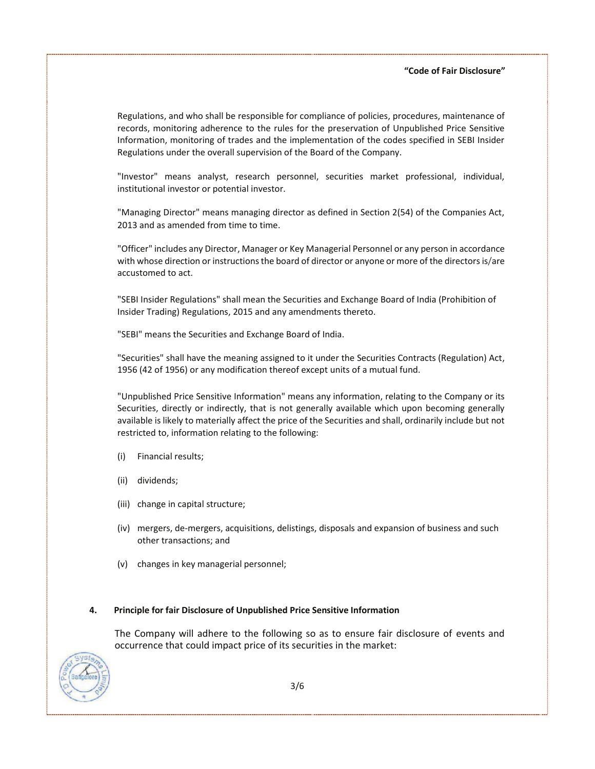Regulations, and who shall be responsible for compliance of policies, procedures, maintenance of records, monitoring adherence to the rules for the preservation of Unpublished Price Sensitive Information, monitoring of trades and the implementation of the codes specified in SEBI Insider Regulations under the overall supervision of the Board of the Company.

"Investor" means analyst, research personnel, securities market professional, individual, institutional investor or potential investor.

"Managing Director" means managing director as defined in Section 2(54) of the Companies Act, 2013 and as amended from time to time.

"Officer" includes any Director, Manager or Key Managerial Personnel or any person in accordance with whose direction or instructions the board of director or anyone or more of the directors is/are accustomed to act.

"SEBI Insider Regulations" shall mean the Securities and Exchange Board of India (Prohibition of Insider Trading) Regulations, 2015 and any amendments thereto.

"SEBI" means the Securities and Exchange Board of India.

"Securities" shall have the meaning assigned to it under the Securities Contracts (Regulation) Act, 1956 (42 of 1956) or any modification thereof except units of a mutual fund.

"Unpublished Price Sensitive Information" means any information, relating to the Company or its Securities, directly or indirectly, that is not generally available which upon becoming generally available is likely to materially affect the price of the Securities and shall, ordinarily include but not restricted to, information relating to the following:

- (i) Financial results;
- (ii) dividends;
- (iii) change in capital structure;
- (iv) mergers, de-mergers, acquisitions, delistings, disposals and expansion of business and such other transactions; and
- (v) changes in key managerial personnel;

#### **4. Principle for fair Disclosure of Unpublished Price Sensitive Information**

The Company will adhere to the following so as to ensure fair disclosure of events and occurrence that could impact price of its securities in the market:

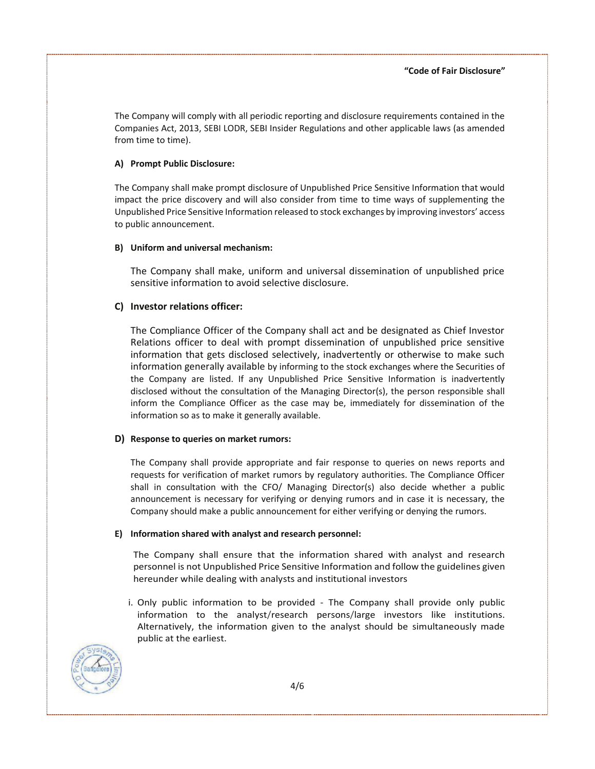The Company will comply with all periodic reporting and disclosure requirements contained in the Companies Act, 2013, SEBI LODR, SEBI Insider Regulations and other applicable laws (as amended from time to time).

#### **A) Prompt Public Disclosure:**

The Company shall make prompt disclosure of Unpublished Price Sensitive Information that would impact the price discovery and will also consider from time to time ways of supplementing the Unpublished Price Sensitive Information released to stock exchanges by improving investorsí access to public announcement.

### **B) Uniform and universal mechanism:**

The Company shall make, uniform and universal dissemination of unpublished price sensitive information to avoid selective disclosure.

## **C) Investor relations officer:**

The Compliance Officer of the Company shall act and be designated as Chief Investor Relations officer to deal with prompt dissemination of unpublished price sensitive information that gets disclosed selectively, inadvertently or otherwise to make such information generally available by informing to the stock exchanges where the Securities of the Company are listed. If any Unpublished Price Sensitive Information is inadvertently disclosed without the consultation of the Managing Director(s), the person responsible shall inform the Compliance Officer as the case may be, immediately for dissemination of the information so as to make it generally available.

## **D) Response to queries on market rumors:**

The Company shall provide appropriate and fair response to queries on news reports and requests for verification of market rumors by regulatory authorities. The Compliance Officer shall in consultation with the CFO/ Managing Director(s) also decide whether a public announcement is necessary for verifying or denying rumors and in case it is necessary, the Company should make a public announcement for either verifying or denying the rumors.

#### **E) Information shared with analyst and research personnel:**

The Company shall ensure that the information shared with analyst and research personnel is not Unpublished Price Sensitive Information and follow the guidelines given hereunder while dealing with analysts and institutional investors

i. Only public information to be provided - The Company shall provide only public information to the analyst/research persons/large investors like institutions. Alternatively, the information given to the analyst should be simultaneously made public at the earliest.

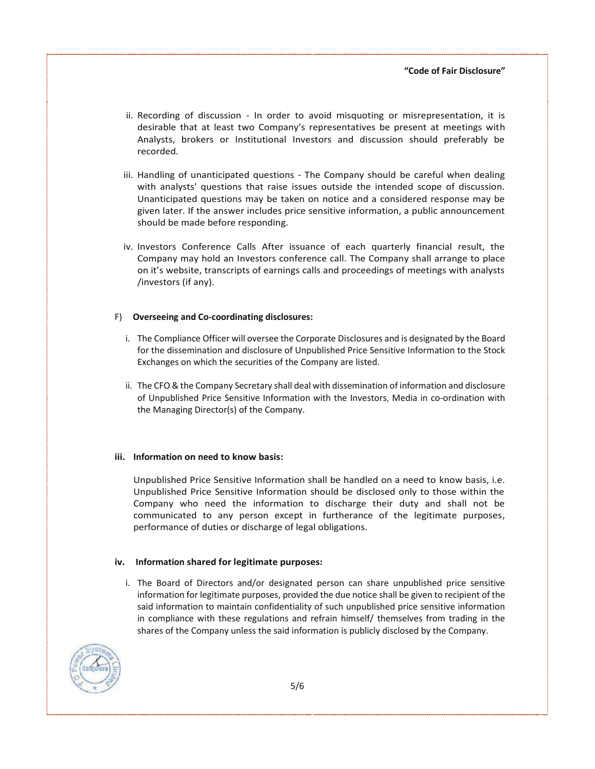- ii. Recording of discussion In order to avoid misquoting or misrepresentation, it is desirable that at least two Companyís representatives be present at meetings with Analysts, brokers or Institutional Investors and discussion should preferably be recorded.
- iii. Handling of unanticipated questions The Company should be careful when dealing with analysts' questions that raise issues outside the intended scope of discussion. Unanticipated questions may be taken on notice and a considered response may be given later. If the answer includes price sensitive information, a public announcement should be made before responding.
- iv. Investors Conference Calls After issuance of each quarterly financial result, the Company may hold an Investors conference call. The Company shall arrange to place on it's website, transcripts of earnings calls and proceedings of meetings with analysts /investors (if any).

#### F) **Overseeing and Co-coordinating disclosures:**

- i. The Compliance Officer will oversee the Corporate Disclosures and is designated by the Board for the dissemination and disclosure of Unpublished Price Sensitive Information to the Stock Exchanges on which the securities of the Company are listed.
- ii. The CFO & the Company Secretary shall deal with dissemination of information and disclosure of Unpublished Price Sensitive Information with the Investors, Media in co-ordination with the Managing Director(s) of the Company.

#### **iii. Information on need to know basis:**

Unpublished Price Sensitive Information shall be handled on a need to know basis, i.e. Unpublished Price Sensitive Information should be disclosed only to those within the Company who need the information to discharge their duty and shall not be communicated to any person except in furtherance of the legitimate purposes, performance of duties or discharge of legal obligations.

#### **iv. Information shared for legitimate purposes:**

i. The Board of Directors and/or designated person can share unpublished price sensitive information for legitimate purposes, provided the due notice shall be given to recipient of the said information to maintain confidentiality of such unpublished price sensitive information in compliance with these regulations and refrain himself/ themselves from trading in the shares of the Company unless the said information is publicly disclosed by the Company.